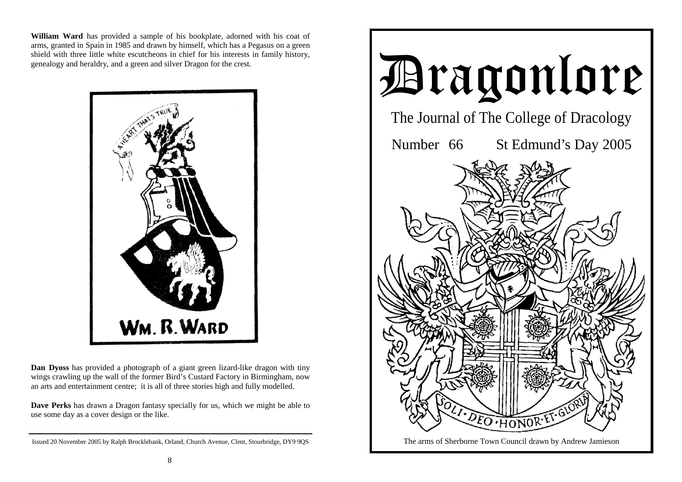**William Ward** has provided a sample of his bookplate, adorned with his coat of arms, granted in Spain in 1985 and drawn by himself, which has a Pegasus on a green shield with three little white escutcheons in chief for his interests in family history, genealogy and heraldry, and a green and silver Dragon for the crest.



**Dan Dyoss** has provided a photograph of a giant green lizard-like dragon with tiny wings crawling up the wall of the former Bird's Custard Factory in Birmingham, now an arts and entertainment centre; it is all of three stories high and fully modelled.

**Dave Perks** has drawn a Dragon fantasy specially for us, which we might be able to use some day as a cover design or the like.



Issued 20 November 2005 by Ralph Brocklebank, Orland, Church Avenue, Clent, Stourbridge, DY9 9QS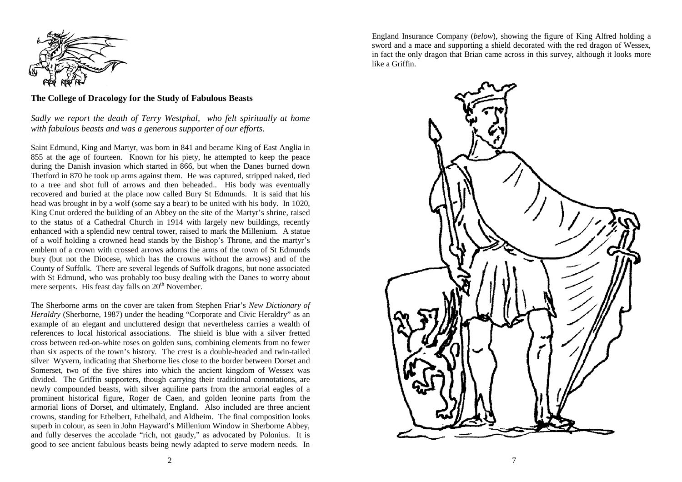

## **The College of Dracology for the Study of Fabulous Beasts**

*Sadly we report the death of Terry Westphal, who felt spiritually at home with fabulous beasts and was a generous supporter of our efforts.* 

Saint Edmund, King and Martyr, was born in 841 and became King of East Anglia in 855 at the age of fourteen. Known for his piety, he attempted to keep the peace during the Danish invasion which started in 866, but when the Danes burned down Thetford in 870 he took up arms against them. He was captured, stripped naked, tied to a tree and shot full of arrows and then beheaded.. His body was eventually recovered and buried at the place now called Bury St Edmunds. It is said that his head was brought in by a wolf (some say a bear) to be united with his body. In 1020, King Cnut ordered the building of an Abbey on the site of the Martyr's shrine, raised to the status of a Cathedral Church in 1914 with largely new buildings, recently enhanced with a splendid new central tower, raised to mark the Millenium. A statue of a wolf holding a crowned head stands by the Bishop's Throne, and the martyr's emblem of a crown with crossed arrows adorns the arms of the town of St Edmunds bury (but not the Diocese, which has the crowns without the arrows) and of the County of Suffolk. There are several legends of Suffolk dragons, but none associated with St Edmund, who was probably too busy dealing with the Danes to worry about mere serpents. His feast day falls on  $20<sup>th</sup>$  November.

The Sherborne arms on the cover are taken from Stephen Friar's *New Dictionary of Heraldry* (Sherborne, 1987) under the heading "Corporate and Civic Heraldry" as an example of an elegant and uncluttered design that nevertheless carries a wealth of references to local historical associations. The shield is blue with a silver fretted cross between red-on-white roses on golden suns, combining elements from no fewer than six aspects of the town's history. The crest is a double-headed and twin-tailed silver Wyvern, indicating that Sherborne lies close to the border between Dorset and Somerset, two of the five shires into which the ancient kingdom of Wessex was divided. The Griffin supporters, though carrying their traditional connotations, are newly compounded beasts, with silver aquiline parts from the armorial eagles of a prominent historical figure, Roger de Caen, and golden leonine parts from the armorial lions of Dorset, and ultimately, England. Also included are three ancient crowns, standing for Ethelbert, Ethelbald, and Aldheim. The final composition looks superb in colour, as seen in John Hayward's Millenium Window in Sherborne Abbey, and fully deserves the accolade "rich, not gaudy," as advocated by Polonius. It is good to see ancient fabulous beasts being newly adapted to serve modern needs. In

England Insurance Company (*below*), showing the figure of King Alfred holding a sword and a mace and supporting a shield decorated with the red dragon of Wessex, in fact the only dragon that Brian came across in this survey, although it looks more like a Griffin.

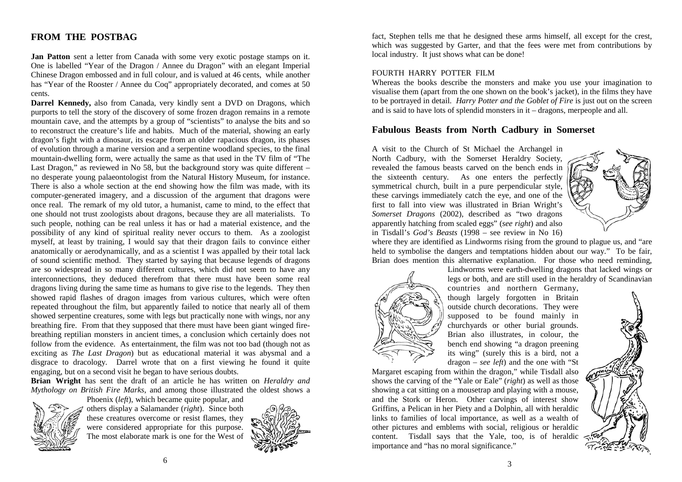## **FROM THE POSTBAG**

**Jan Patton** sent a letter from Canada with some very exotic postage stamps on it. One is labelled "Year of the Dragon / Annee du Dragon" with an elegant Imperial Chinese Dragon embossed and in full colour, and is valued at 46 cents, while another has "Year of the Rooster / Annee du Coq" appropriately decorated, and comes at 50 cents.

**Darrel Kennedy,** also from Canada, very kindly sent a DVD on Dragons, which purports to tell the story of the discovery of some frozen dragon remains in a remote mountain cave, and the attempts by a group of "scientists" to analyse the bits and so to reconstruct the creature's life and habits. Much of the material, showing an early dragon's fight with a dinosaur, its escape from an older rapacious dragon, its phases of evolution through a marine version and a serpentine woodland species, to the final mountain-dwelling form, were actually the same as that used in the TV film of "The Last Dragon," as reviewed in No 58, but the background story was quite different – no desperate young palaeontologist from the Natural History Museum, for instance. There is also a whole section at the end showing how the film was made, with its computer-generated imagery, and a discussion of the argument that dragons were once real. The remark of my old tutor, a humanist, came to mind, to the effect that one should not trust zoologists about dragons, because they are all materialists. To such people, nothing can be real unless it has or had a material existence, and the possibility of any kind of spiritual reality never occurs to them. As a zoologist myself, at least by training, I would say that their dragon fails to convince either anatomically or aerodynamically, and as a scientist I was appalled by their total lack of sound scientific method. They started by saying that because legends of dragons are so widespread in so many different cultures, which did not seem to have any interconnections, they deduced therefrom that there must have been some real dragons living during the same time as humans to give rise to the legends. They then showed rapid flashes of dragon images from various cultures, which were often repeated throughout the film, but apparently failed to notice that nearly all of them showed serpentine creatures, some with legs but practically none with wings, nor any breathing fire. From that they supposed that there must have been giant winged firebreathing reptilian monsters in ancient times, a conclusion which certainly does not follow from the evidence. As entertainment, the film was not too bad (though not as exciting as *The Last Dragon*) but as educational material it was abysmal and a disgrace to dracology. Darrel wrote that on a first viewing he found it quite engaging, but on a second visit he began to have serious doubts.

**Brian Wright** has sent the draft of an article he has written on *Heraldry and Mythology on British Fire Marks*, and among those illustrated the oldest shows a Phoenix (*left*), which became quite popular, and



others display a Salamander (*right*). Since both these creatures overcome or resist flames, they were considered appropriate for this purpose. The most elaborate mark is one for the West of



fact, Stephen tells me that he designed these arms himself, all except for the crest, which was suggested by Garter, and that the fees were met from contributions by local industry. It just shows what can be done!

#### FOURTH HARRY POTTER FILM

Whereas the books describe the monsters and make you use your imagination to visualise them (apart from the one shown on the book's jacket), in the films they have to be portrayed in detail. *Harry Potter and the Goblet of Fire* is just out on the screen and is said to have lots of splendid monsters in it – dragons, merpeople and all.

### **Fabulous Beasts from North Cadbury in Somerset**

A visit to the Church of St Michael the Archangel in North Cadbury, with the Somerset Heraldry Society, revealed the famous beasts carved on the bench ends in the sixteenth century. As one enters the perfectly symmetrical church, built in a pure perpendicular style, these carvings immediately catch the eye, and one of the first to fall into view was illustrated in Brian Wright's *Somerset Dragons* (2002), described as "two dragons apparently hatching from scaled eggs" (*see right*) and also in Tisdall's *God's Beasts* (1998 – see review in No 16)



where they are identified as Lindworms rising from the ground to plague us, and "are held to symbolise the dangers and temptations hidden about our way." To be fair, Brian does mention this alternative explanation. For those who need reminding,



Lindworms were earth-dwelling dragons that lacked wings or legs or both, and are still used in the heraldry of Scandinavian

countries and northern Germany, though largely forgotten in Britain outside church decorations. They were supposed to be found mainly in churchyards or other burial grounds. Brian also illustrates, in colour, the bench end showing "a dragon preening its wing" (surely this is a bird, not a dragon – *see left*) and the one with "St

Margaret escaping from within the dragon," while Tisdall also shows the carving of the "Yale or Eale" (*right*) as well as those showing a cat sitting on a mousetrap and playing with a mouse, and the Stork or Heron. Other carvings of interest show Griffins, a Pelican in her Piety and a Dolphin, all with heraldic links to families of local importance, as well as a wealth of other pictures and emblems with social, religious or heraldic content. Tisdall says that the Yale, too, is of heraldic importance and "has no moral significance."